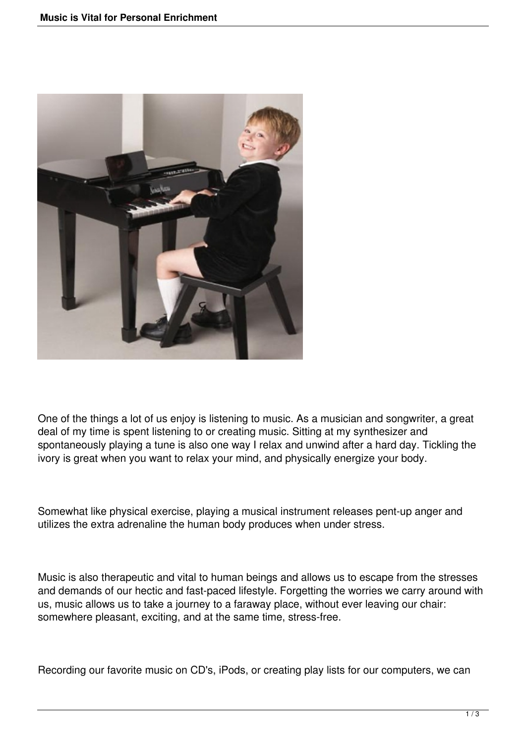

One of the things a lot of us enjoy is listening to music. As a musician and songwriter, a great deal of my time is spent listening to or creating music. Sitting at my synthesizer and spontaneously playing a tune is also one way I relax and unwind after a hard day. Tickling the ivory is great when you want to relax your mind, and physically energize your body.

Somewhat like physical exercise, playing a musical instrument releases pent-up anger and utilizes the extra adrenaline the human body produces when under stress.

Music is also therapeutic and vital to human beings and allows us to escape from the stresses and demands of our hectic and fast-paced lifestyle. Forgetting the worries we carry around with us, music allows us to take a journey to a faraway place, without ever leaving our chair: somewhere pleasant, exciting, and at the same time, stress-free.

Recording our favorite music on CD's, iPods, or creating play lists for our computers, we can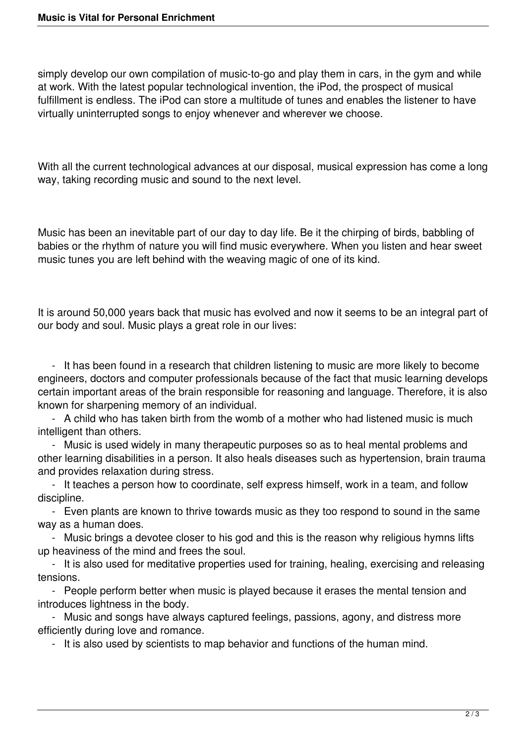simply develop our own compilation of music-to-go and play them in cars, in the gym and while at work. With the latest popular technological invention, the iPod, the prospect of musical fulfillment is endless. The iPod can store a multitude of tunes and enables the listener to have virtually uninterrupted songs to enjoy whenever and wherever we choose.

With all the current technological advances at our disposal, musical expression has come a long way, taking recording music and sound to the next level.

Music has been an inevitable part of our day to day life. Be it the chirping of birds, babbling of babies or the rhythm of nature you will find music everywhere. When you listen and hear sweet music tunes you are left behind with the weaving magic of one of its kind.

It is around 50,000 years back that music has evolved and now it seems to be an integral part of our body and soul. Music plays a great role in our lives:

 - It has been found in a research that children listening to music are more likely to become engineers, doctors and computer professionals because of the fact that music learning develops certain important areas of the brain responsible for reasoning and language. Therefore, it is also known for sharpening memory of an individual.

 - A child who has taken birth from the womb of a mother who had listened music is much intelligent than others.

 - Music is used widely in many therapeutic purposes so as to heal mental problems and other learning disabilities in a person. It also heals diseases such as hypertension, brain trauma and provides relaxation during stress.

 - It teaches a person how to coordinate, self express himself, work in a team, and follow discipline.

 - Even plants are known to thrive towards music as they too respond to sound in the same way as a human does.

 - Music brings a devotee closer to his god and this is the reason why religious hymns lifts up heaviness of the mind and frees the soul.

 - It is also used for meditative properties used for training, healing, exercising and releasing tensions.

 - People perform better when music is played because it erases the mental tension and introduces lightness in the body.

 - Music and songs have always captured feelings, passions, agony, and distress more efficiently during love and romance.

- It is also used by scientists to map behavior and functions of the human mind.